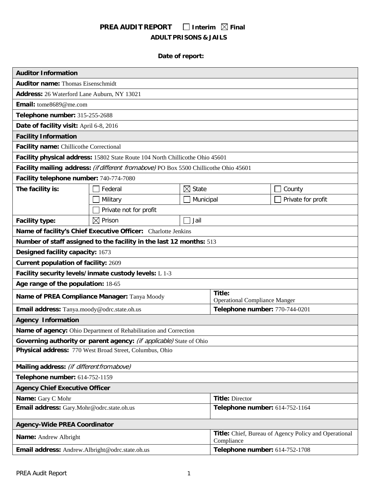# **PREA AUDIT REPORT** □ Interim  $\boxtimes$  Final **ADULT PRISONS & JAILS**

# **Date of report:**

| <b>Auditor Information</b>                                                  |                                                                                        |                      |                                                                     |                    |  |
|-----------------------------------------------------------------------------|----------------------------------------------------------------------------------------|----------------------|---------------------------------------------------------------------|--------------------|--|
| <b>Auditor name: Thomas Eisenschmidt</b>                                    |                                                                                        |                      |                                                                     |                    |  |
| Address: 26 Waterford Lane Auburn, NY 13021                                 |                                                                                        |                      |                                                                     |                    |  |
| Email: tome8689@me.com                                                      |                                                                                        |                      |                                                                     |                    |  |
| Telephone number: 315-255-2688                                              |                                                                                        |                      |                                                                     |                    |  |
| Date of facility visit: April 6-8, 2016                                     |                                                                                        |                      |                                                                     |                    |  |
| <b>Facility Information</b>                                                 |                                                                                        |                      |                                                                     |                    |  |
| Facility name: Chillicothe Correctional                                     |                                                                                        |                      |                                                                     |                    |  |
|                                                                             | Facility physical address: 15802 State Route 104 North Chillicothe Ohio 45601          |                      |                                                                     |                    |  |
|                                                                             | Facility mailing address: (if different from above) PO Box 5500 Chillicothe Ohio 45601 |                      |                                                                     |                    |  |
| Facility telephone number: 740-774-7080                                     |                                                                                        |                      |                                                                     |                    |  |
| The facility is:                                                            | Federal                                                                                | $\boxtimes$<br>State |                                                                     | County             |  |
|                                                                             | Military                                                                               | Municipal            |                                                                     | Private for profit |  |
|                                                                             | Private not for profit                                                                 |                      |                                                                     |                    |  |
| <b>Facility type:</b>                                                       | $\boxtimes$ Prison                                                                     | Jail                 |                                                                     |                    |  |
|                                                                             | Name of facility's Chief Executive Officer: Charlotte Jenkins                          |                      |                                                                     |                    |  |
|                                                                             | Number of staff assigned to the facility in the last 12 months: 513                    |                      |                                                                     |                    |  |
| Designed facility capacity: 1673                                            |                                                                                        |                      |                                                                     |                    |  |
| <b>Current population of facility: 2609</b>                                 |                                                                                        |                      |                                                                     |                    |  |
|                                                                             | Facility security levels/inmate custody levels: L 1-3                                  |                      |                                                                     |                    |  |
| Age range of the population: 18-65                                          |                                                                                        |                      |                                                                     |                    |  |
|                                                                             | Name of PREA Compliance Manager: Tanya Moody                                           |                      | Title:<br><b>Operational Compliance Manger</b>                      |                    |  |
| Email address: Tanya.moody@odrc.state.oh.us                                 |                                                                                        |                      | Telephone number: 770-744-0201                                      |                    |  |
| <b>Agency Information</b>                                                   |                                                                                        |                      |                                                                     |                    |  |
|                                                                             | Name of agency: Ohio Department of Rehabilitation and Correction                       |                      |                                                                     |                    |  |
|                                                                             | Governing authority or parent agency: (if applicable) State of Ohio                    |                      |                                                                     |                    |  |
| Physical address: 770 West Broad Street, Columbus, Ohio                     |                                                                                        |                      |                                                                     |                    |  |
| Mailing address: (if different from above)                                  |                                                                                        |                      |                                                                     |                    |  |
| Telephone number: 614-752-1159                                              |                                                                                        |                      |                                                                     |                    |  |
| <b>Agency Chief Executive Officer</b>                                       |                                                                                        |                      |                                                                     |                    |  |
| Name: Gary C Mohr                                                           |                                                                                        |                      | <b>Title: Director</b>                                              |                    |  |
| Email address: Gary.Mohr@odrc.state.oh.us<br>Telephone number: 614-752-1164 |                                                                                        |                      |                                                                     |                    |  |
| <b>Agency-Wide PREA Coordinator</b>                                         |                                                                                        |                      |                                                                     |                    |  |
| Name: Andrew Albright                                                       |                                                                                        |                      | Title: Chief, Bureau of Agency Policy and Operational<br>Compliance |                    |  |
| Email address: Andrew.Albright@odrc.state.oh.us                             |                                                                                        |                      | Telephone number: 614-752-1708                                      |                    |  |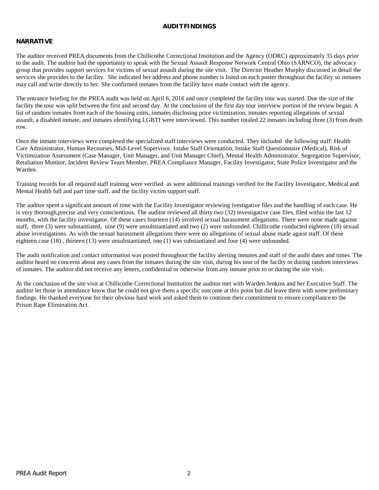## **AUDITFINDINGS**

# **NARRATIVE**

The auditor received PREA documents from the Chillicothe Correctional Institution and the Agency (ODRC) approximately 35 days prior to the audit. The auditor had the opportunity to speak with the Sexual Assault Response Network Central Ohio (SARNCO), the advocacy group that provides support services for victims of sexual assault during the site visit. The Director Heather Murphy discussed in detail the services she provides to the facility. She indicated her address and phone number is listed on each poster throughout the facility so inmates may call and write directly to her. She confirmed inmates from the facility have made contact with the agency.

The entrance briefing for the PREA audit was held on April 6, 2016 and once completed the facility tour was started. Due the size of the facility the tour was split between the first and second day. At the conclusion of the first day tour interview portion of the review began. A list of random inmates from each of the housing units, inmates disclosing prior victimization, inmates reporting allegations of sexual assault, a disabled inmate, and inmates identifying LGBTI were interviewed. This number totaled 22 inmates including three (3) from death row.

Once the inmate interviews were completed the specialized staff interviews were conducted. They included the following staff: Health Care Administrator, Human Recourses, Mid-Level Supervisor, Intake Staff Orientation, Intake Staff Questionnaire (Medical), Risk of Victimization Assessment (Case Manager, Unit Manager, and Unit Manager Chief), Mental Health Administrator, Segregation Supervisor, Retaliation Monitor, Incident Review Team Member, PREA Compliance Manager, Facility Investigator, State Police Investigator and the Warden.

Training records for all required staff training were verified as were additional trainings verified for the Facility Investigator, Medical and Mental Health full and part time staff, and the facility victim support staff.

The auditor spent a significant amount of time with the Facility Investigator reviewing ivestigative files and the handling of each case. He is very thorough,precise and very conscientious. The auditor reviewed all thirty two (32) investigative case files, filed within the last 12 months, with the facility investigator. Of these cases fourteen (14) involved sexual harassment allegations. There were none made against staff, three (3) were substantiated, nine (9) were unsubstantiated and two (2) were unfounded. Chillicothe conducted eighteen (18) sexual abuse investigations. As with the sexual harassment allegations there were no allegations of sexual abuse made agaist staff. Of these eighteen case (18) , thirteen (13) were unsubstantiated, one (1) was substantiated and four (4) were unfounded.

The audit notification and contact information was posted throughout the facility alerting inmates and staff of the audit dates and times. The auditor heard no concerns about any cases from the inmates during the site visit, during his tour of the facilty or during random interviews of inmates. The auditor did not receive any letters, confidential or otherwise from any inmate prior to or during the site visit.

At the conclusion of the site visit at Chillicothe Correctional Institution the auditor met with Warden Jenkins and her Executive Staff. The auditor let those in attendance know that he could not give them a specific outcome at this point but did leave them with some preliminary findings. He thanked everyone for their obvious hard work and asked them to continue their commitment to ensure compliance to the Prison Rape Elimination Act.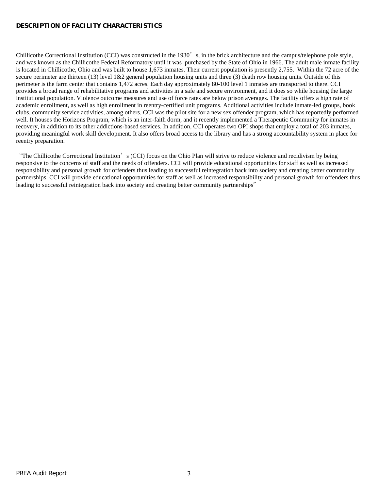## **DESCRIPTION OF FACILITY CHARACTERISTICS**

Chillicothe Correctional Institution (CCI) was constructed in the 1930's, in the brick architecture and the campus/telephone pole style, and was known as the Chillicothe Federal Reformatory until it was purchased by the State of Ohio in 1966. The adult male inmate facility is located in Chillicothe, Ohio and was built to house 1,673 inmates. Their current population is presently 2,755. Within the 72 acre of the secure perimeter are thirteen (13) level 1&2 general population housing units and three (3) death row housing units. Outside of this perimeter is the farm center that contains 1,472 acres. Each day approximately 80-100 level 1 inmates are transported to there. CCI provides a broad range of rehabilitative programs and activities in a safe and secure environment, and it does so while housing the large institutional population. Violence outcome measures and use of force rates are below prison averages. The facility offers a high rate of academic enrollment, as well as high enrollment in reentry-certified unit programs. Additional activities include inmate-led groups, book clubs, community service activities, among others. CCI was the pilot site for a new sex offender program, which has reportedly performed well. It houses the Horizons Program, which is an inter-faith dorm, and it recently implemented a Therapeutic Community for inmates in recovery, in addition to its other addictions-based services. In addition, CCI operates two OPI shops that employ a total of 203 inmates, providing meaningful work skill development. It also offers broad access to the library and has a strong accountability system in place for reentry preparation.

"The Chillicothe Correctional Institution's (CCI) focus on the Ohio Plan will strive to reduce violence and recidivism by being responsive to the concerns of staff and the needs of offenders. CCI will provide educational opportunities for staff as well as increased responsibility and personal growth for offenders thus leading to successful reintegration back into society and creating better community partnerships. CCI will provide educational opportunities for staff as well as increased responsibility and personal growth for offenders thus leading to successful reintegration back into society and creating better community partnerships"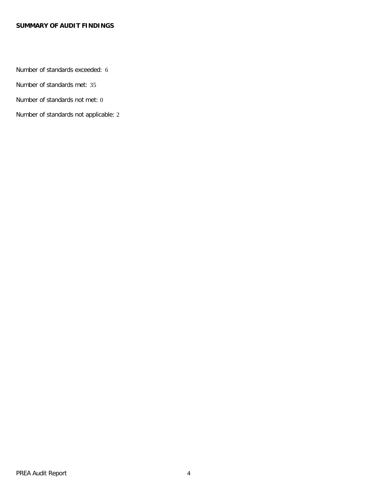# **SUMMARY OF AUDIT FINDINGS**

Number of standards exceeded: 6

Number of standards met: 35

Number of standards not met: 0

Number of standards not applicable: 2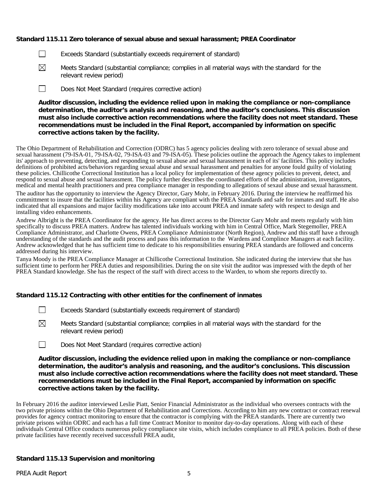# **Standard 115.11 Zero tolerance of sexual abuse and sexual harassment; PREA Coordinator**

- П Exceeds Standard (substantially exceeds requirement of standard)
- $\boxtimes$ Meets Standard (substantial compliance; complies in all material ways with the standard for the relevant review period)
- $\Box$ Does Not Meet Standard (requires corrective action)

**Auditor discussion, including the evidence relied upon in making the compliance or non-compliance determination, the auditor's analysis and reasoning, and the auditor's conclusions. This discussion must also include corrective action recommendations where the facility does not meet standard. These recommendations must be included in the Final Report, accompanied by information on specific corrective actions taken by the facility.**

The Ohio Department of Rehabilitation and Correction (ODRC) has 5 agency policies dealing with zero tolerance of sexual abuse and sexual harassment (79-ISA-01, 79-ISA-02, 79-ISA-03 and 79-ISA-05). These policies outline the approach the Agency takes to implement its' approach to preventing, detecting, and responding to sexual abuse and sexual harassment in each of its' facilities. This policy includes definitions of prohibited acts/behaviors regarding sexual abuse and sexual harassment and penalties for anyone fould guilty of violating these policies. Chillicothe Correctional Institution has a local policy for implementation of these agency policies to prevent, detect, and respond to sexual abuse and sexual harassment. The policy further describes the coordinated efforts of the administration, investigators, medical and mental health practitioners and prea compliance manager in responding to allegations of sexaul abuse and sexual harassment.

The auditor has the opportunity to interview the Agency Director, Gary Mohr, in February 2016. During the interview he reaffirmed his committment to insure that the facilities within his Agency are compliant with the PREA Standards and safe for inmates and staff. He also indicated that all expansions and major facility modifications take into account PREA and inmate safety with respect to design and installing video enhancements.

Andrew Albright is the PREA Coordinator for the agency. He has direct access to the Director Gary Mohr and meets regularly with him specifically to discuss PREA matters. Andrew has talented individuals working with him in Central Office, Mark Stegemoller, PREA Compliance Administrator, and Charlotte Owens, PREA Compliance Administrator (North Region), Andrew and this staff have a through understanding of the standards and the audit process and pass this information to the Wardens and Complince Managers at each facility. Andrew acknowledged that he has sufficient time to dedicate to his responsibilities ensuring PREA standards are followed and concerns addressed during his interview.

Tanya Moody is the PREA Compliance Manager at Chillicothe Correctional Institution. She indicated during the interview that she has sufficient time to perform her PREA duties and responsibilities. During the on site visit the auditor was impressed with the depth of her PREA Standard knowledge. She has the respect of the staff with direct access to the Warden, to whom she reports directly to.

#### **Standard 115.12 Contracting with other entities for the confinement of inmates**

- $\perp$ Exceeds Standard (substantially exceeds requirement of standard)
- $\boxtimes$ Meets Standard (substantial compliance; complies in all material ways with the standard for the relevant review period)
- $\Box$ Does Not Meet Standard (requires corrective action)

**Auditor discussion, including the evidence relied upon in making the compliance or non-compliance determination, the auditor's analysis and reasoning, and the auditor's conclusions. This discussion must also include corrective action recommendations where the facility does not meet standard. These recommendations must be included in the Final Report, accompanied by information on specific corrective actions taken by the facility.**

In February 2016 the auditor interviewed Leslie Piatt, Senior Financial Administrator as the individual who oversees contracts with the two private prisions within the Ohio Department of Rehabilitation and Corrections. According to him any new contract or contract renewal provides for agency contract monitoring to ensure that the contractor is complying with the PREA standards. There are currently two priviate prisons within ODRC and each has a full time Contract Monitor to monitor day-to-day operations. Along with each of these individuals Central Office conducts numerous policy compliance site visits, which includes compliance to all PREA policies. Both of these private facilities have recently received successfull PREA audit,

#### **Standard 115.13 Supervision and monitoring**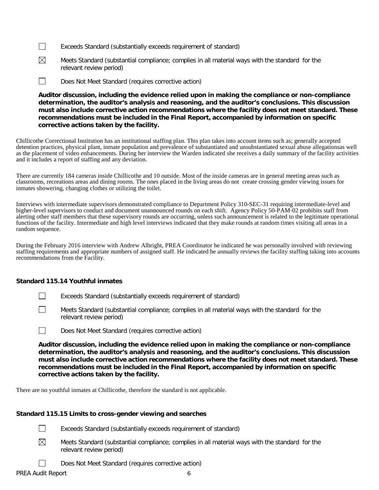- $\Box$ Exceeds Standard (substantially exceeds requirement of standard)
- $\boxtimes$ Meets Standard (substantial compliance; complies in all material ways with the standard for the relevant review period)
- $\Box$ Does Not Meet Standard (requires corrective action)

**Auditor discussion, including the evidence relied upon in making the compliance or non-compliance determination, the auditor's analysis and reasoning, and the auditor's conclusions. This discussion must also include corrective action recommendations where the facility does not meet standard. These recommendations must be included in the Final Report, accompanied by information on specific corrective actions taken by the facility.**

Chillicothe Correctional Institution has an institutional staffing plan. This plan takes into account items such as; generally accepted detention practices, physical plant, inmate population and prevalence of substantiated and unsubstantiated sexual abuse allegationsas well as the placement of video enhancements. During her interview the Warden indicated she receives a daily summary of the facility activities and it includes a report of staffing and any deviation.

There are currently 184 cameras inside Chillicothe and 10 outside. Most of the inside cameras are in general meeting areas such as classrooms, recreations areas and dining rooms. The ones placed in the living areas do not create crossing gender viewing issues for inmates showering, changing clothes or utilizing the toilet.

Interviews with intermediate supervisors demonstrated compliance to Department Policy 310-SEC-31 requiring intermediate-level and higher-level supervisors to conduct and document unannounced rounds on each shift. Agency Policy 50-PAM-02 prohibits staff from alerting other staff members that these supervisory rounds are occurring, unless such announcement is related to the legitimate operational functions of the facility. Intermediate and high level interviews indicated that they make rounds at random times visiting all areas in a random sequence.

During the February 2016 interview with Andrew Albright, PREA Coordinator he indicated he was personally involved with reviewing staffing requirements and appropriate numbers of assigned staff. He indicated he annually reviews the facility staffing taking into accounts recommendations from the Facility.

## **Standard 115.14 Youthful inmates**

- Exceeds Standard (substantially exceeds requirement of standard)
- П Meets Standard (substantial compliance; complies in all material ways with the standard for the relevant review period)



**Auditor discussion, including the evidence relied upon in making the compliance or non-compliance determination, the auditor's analysis and reasoning, and the auditor's conclusions. This discussion must also include corrective action recommendations where the facility does not meet standard. These recommendations must be included in the Final Report, accompanied by information on specific corrective actions taken by the facility.**

There are no youthful inmates at Chillicothe, therefore the standard is not applicable.

# **Standard 115.15 Limits to cross-gender viewing and searches**

 $\Box$ Exceeds Standard (substantially exceeds requirement of standard)

 $\boxtimes$ Meets Standard (substantial compliance; complies in all material ways with the standard for the relevant review period)

Does Not Meet Standard (requires corrective action)

 $\Box$ PREA Audit Report 6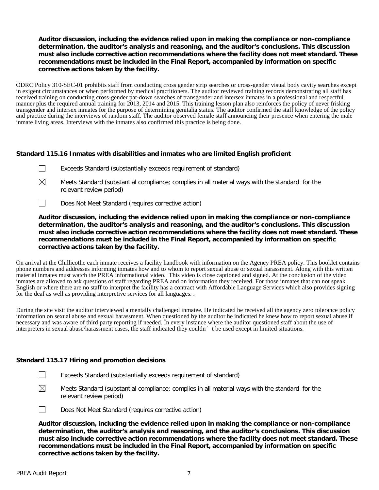# **Auditor discussion, including the evidence relied upon in making the compliance or non-compliance determination, the auditor's analysis and reasoning, and the auditor's conclusions. This discussion must also include corrective action recommendations where the facility does not meet standard. These recommendations must be included in the Final Report, accompanied by information on specific corrective actions taken by the facility.**

ODRC Policy 310-SEC-01 prohibits staff from conducting cross gender strip searches or cross-gender visual body cavity searches except in exigent circumstances or when performed by medical practitioners. The auditor reviewed training records demonstrating all staff has received training on conducting cross-gender pat-down searches of transgender and intersex inmates in a professional and respectful manner plus the required annual training for 2013, 2014 and 2015. This training lesson plan also reinforces the policy of never frisking transgender and intersex inmates for the purpose of determining genitalia status. The auditor confirmed the staff knowledge of the policy and practice during the interviews of random staff. The auditor observed female staff announcing their presence when entering the male inmate living areas. Interviews with the inmates also confirmed this practice is being done.

# **Standard 115.16 Inmates with disabilities and inmates who are limited English proficient**

- $\Box$ Exceeds Standard (substantially exceeds requirement of standard)
- $\boxtimes$ Meets Standard (substantial compliance; complies in all material ways with the standard for the relevant review period)
- $\Box$ Does Not Meet Standard (requires corrective action)

**Auditor discussion, including the evidence relied upon in making the compliance or non-compliance determination, the auditor's analysis and reasoning, and the auditor's conclusions. This discussion must also include corrective action recommendations where the facility does not meet standard. These recommendations must be included in the Final Report, accompanied by information on specific corrective actions taken by the facility.**

On arrival at the Chillicothe each inmate receives a facility handbook with information on the Agency PREA policy. This booklet contains phone numbers and addresses informing inmates how and to whom to report sexual abuse or sexual harassment. Along with this written material inmates must watch the PREA informational video. This video is close captioned and signed. At the conclusion of the video inmates are allowed to ask questions of staff regarding PREA and on information they received. For those inmates that can not speak English or where there are no staff to interpret the facility has a contract with Affordable Language Services which also provides signing for the deaf as well as providing interpretive services for all languages. .

During the site visit the auditor interviewed a mentally challenged inmatee. He indicated he received all the agency zero tolerance policy information on sexual abuse and sexual harassment. When questioned by the auditor he indicated he knew how to report sexual abuse if necessary and was aware of third party reporting if needed. In every instance where the auditor questioned staff about the use of interpreters in sexual abuse/harassment cases, the staff indicated they couldn't be used except in limited situations.

#### **Standard 115.17 Hiring and promotion decisions**

- $\perp$ Exceeds Standard (substantially exceeds requirement of standard)
- $\boxtimes$ Meets Standard (substantial compliance; complies in all material ways with the standard for the relevant review period)

 $\Box$ 

Does Not Meet Standard (requires corrective action)

**Auditor discussion, including the evidence relied upon in making the compliance or non-compliance determination, the auditor's analysis and reasoning, and the auditor's conclusions. This discussion must also include corrective action recommendations where the facility does not meet standard. These recommendations must be included in the Final Report, accompanied by information on specific corrective actions taken by the facility.**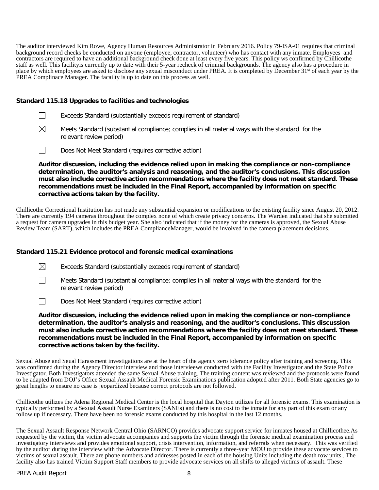The auditor interviewed Kim Rowe, Agency Human Resources Administrator in February 2016. Policy 79-ISA-01 requires that criminal background record checks be conducted on anyone (employee, contractor, volunteer) who has contact with any inmate. Employees and contractors are required to have an additional background check done at least every five years. This policy ws confirmed by Chillicothe staff as well. This facilityis currently up to date with their 5-year recheck of criminal backgrounds. The agency also has a procedure in place by which employees are asked to disclose any sexual misconduct under PREA. It is completed by December 31<sup>st</sup> of each year by the PREA Complinace Manager. The facailty is up to date on this process as well.

## **Standard 115.18 Upgrades to facilities and technologies**

|  |  | Exceeds Standard (substantially exceeds requirement of standard) |  |  |
|--|--|------------------------------------------------------------------|--|--|
|  |  |                                                                  |  |  |

- ⊠ Meets Standard (substantial compliance; complies in all material ways with the standard for the relevant review period)
- $\Box$ Does Not Meet Standard (requires corrective action)

**Auditor discussion, including the evidence relied upon in making the compliance or non-compliance determination, the auditor's analysis and reasoning, and the auditor's conclusions. This discussion must also include corrective action recommendations where the facility does not meet standard. These recommendations must be included in the Final Report, accompanied by information on specific corrective actions taken by the facility.**

Chillicothe Correctional Institution has not made any substantial expansion or modifications to the existing facility since August 20, 2012. There are currently 194 cameras throughout the complex none of which create privacy concerns. The Warden indicated that she submitted a request for camera upgrades in this budget year. She also indicated that if the money for the cameras is approved, the Sexual Abuse Review Team (SART), which includes the PREA ComplianceManager, would be involved in the camera placement decisions.

# **Standard 115.21 Evidence protocol and forensic medical examinations**

 $\boxtimes$ Exceeds Standard (substantially exceeds requirement of standard)

 $\Box$ Meets Standard (substantial compliance; complies in all material ways with the standard for the relevant review period)

 $\Box$ Does Not Meet Standard (requires corrective action)

**Auditor discussion, including the evidence relied upon in making the compliance or non-compliance determination, the auditor's analysis and reasoning, and the auditor's conclusions. This discussion must also include corrective action recommendations where the facility does not meet standard. These recommendations must be included in the Final Report, accompanied by information on specific corrective actions taken by the facility.**

Sexual Abuse and Seual Harassment investigations are at the heart of the agency zero tolerance policy after training and screenng. This was confirmed during the Agency Director interview and those intervieews conducted with the Facility Investigator and the State Police Investigator. Both Investigators attended the same Sexual Abuse training. The training content was reviewed and the protocols were found to be adapted from DOJ's Office Sexual Assault Medical Forensic Examinations publication adopted after 2011. Both State agencies go to great lengths to ensure no case is jeopardized because correct protocols are not followed.

Chillicothe utilizes the Adena Regional Medical Center is the local hospital that Dayton utilizes for all forensic exams. This examination is typically performed by a Sexual Assault Nurse Examiners (SANEs) and there is no cost to the inmate for any part of this exam or any follow up if necessary. There have been no forensic exams conducted by this hospital in the last 12 months.

The Sexual Assault Response Network Central Ohio (SARNCO) provides advocate support service for inmates housed at Chillicothee.As requested by the victim, the victim advocate accompanies and supports the victim through the forensic medical examination process and investigatory interviews and provides emotional support, crisis intervention, information, and referrals when necessary. This was verified by the auditor during the interview with the Advocate Director. There is currently a three-year MOU to provide these advocate services to victims of sexual assault. There are phone numbers and addresses posted in each of the housing Units including the death row units.. The facility also has trained Victim Support Staff members to provide advocate services on all shifts to alleged victims of assault. These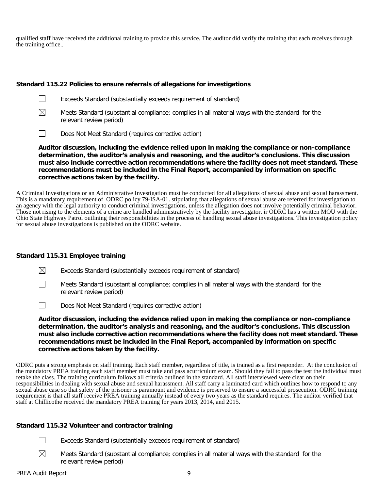qualified staff have received the additional training to provide this service. The auditor did verify the training that each receives through the training office..

## **Standard 115.22 Policies to ensure referrals of allegations for investigations**



- Exceeds Standard (substantially exceeds requirement of standard)
- $\boxtimes$

Meets Standard (substantial compliance; complies in all material ways with the standard for the relevant review period)

 $\Box$ Does Not Meet Standard (requires corrective action)

**Auditor discussion, including the evidence relied upon in making the compliance or non-compliance determination, the auditor's analysis and reasoning, and the auditor's conclusions. This discussion must also include corrective action recommendations where the facility does not meet standard. These recommendations must be included in the Final Report, accompanied by information on specific corrective actions taken by the facility.**

A Criminal Investigations or an Administrative Investigation must be conducted for all allegations of sexual abuse and sexual harassment. This is a mandatory requirement of ODRC policy 79-ISA-01. stipulating that allegations of sexual abuse are referred for investigation to an agency with the legal authority to conduct criminal investigations, unless the allegation does not involve potentially criminal behavior. Those not rising to the elements of a crime are handled administratively by the facility investigator. ir ODRC has a written MOU with the Ohio State Highway Patrol outlining their responsibilities in the process of handling sexual abuse investigations. This investigation policy for sexual abuse investigations is published on the ODRC website.

# **Standard 115.31 Employee training**

- ⊠ Exceeds Standard (substantially exceeds requirement of standard)
- $\Box$ Meets Standard (substantial compliance; complies in all material ways with the standard for the relevant review period)
- $\Box$ Does Not Meet Standard (requires corrective action)

**Auditor discussion, including the evidence relied upon in making the compliance or non-compliance determination, the auditor's analysis and reasoning, and the auditor's conclusions. This discussion must also include corrective action recommendations where the facility does not meet standard. These recommendations must be included in the Final Report, accompanied by information on specific corrective actions taken by the facility.**

ODRC puts a strong emphasis on staff training. Each staff member, regardless of title, is trained as a first responder. At the conclusion of the mandatory PREA training each staff member must take and pass acurriculum exam. Should they fail to pass the test the individual must retake the class. The training curriculum follows all criteria outlined in the standard. All staff interviewed were clear on their responsibilities in dealing with sexual abuse and sexual harassment. All staff carry a laminated card which outlines how to respond to any sexual abuse case so that safety of the prisoner is paramount and evidence is preserved to ensure a successful prosecution. ODRC training requirement is that all staff receive PREA training annually instead of every two years as the standard requires. The auditor verified that staff at Chillicothe received the mandatory PREA training for years 2013, 2014, and 2015.

# **Standard 115.32 Volunteer and contractor training**

- $\Box$ Exceeds Standard (substantially exceeds requirement of standard)
- ⊠ Meets Standard (substantial compliance; complies in all material ways with the standard for the relevant review period)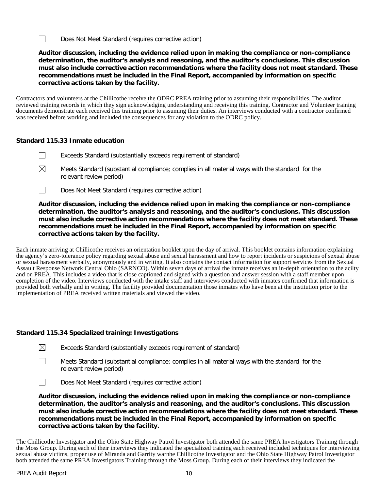$\Box$ Does Not Meet Standard (requires corrective action)

**Auditor discussion, including the evidence relied upon in making the compliance or non-compliance determination, the auditor's analysis and reasoning, and the auditor's conclusions. This discussion must also include corrective action recommendations where the facility does not meet standard. These recommendations must be included in the Final Report, accompanied by information on specific corrective actions taken by the facility.**

Contractors and volunteers at the Chillicothe receive the ODRC PREA training prior to assuming their responsibilities. The auditor reviewed training records in which they sign acknowledging understanding and receiving this training. Contractor and Volunteer training documents demonstrate each received this training prior to assuming their duties. An interviews conducted with a contractor confirmed was received before working and included the consequences for any violation to the ODRC policy.

# **Standard 115.33 Inmate education**

- $\Box$ Exceeds Standard (substantially exceeds requirement of standard)
- ⊠ Meets Standard (substantial compliance; complies in all material ways with the standard for the relevant review period)
- $\Box$ Does Not Meet Standard (requires corrective action)

**Auditor discussion, including the evidence relied upon in making the compliance or non-compliance determination, the auditor's analysis and reasoning, and the auditor's conclusions. This discussion must also include corrective action recommendations where the facility does not meet standard. These recommendations must be included in the Final Report, accompanied by information on specific corrective actions taken by the facility.**

Each inmate arriving at Chillicothe receives an orientation booklet upon the day of arrival. This booklet contains information explaining the agency's zero-tolerance policy regarding sexual abuse and sexual harassment and how to report incidents or suspicions of sexual abuse or sexual harassment verbally, anonymously and in writing. It also contains the contact information for support services from the Sexual Assault Response Network Central Ohio (SARNCO). Within seven days of arrival the inmate receives an in-depth orientation to the acilty and on PREA. This includes a video that is close captioned and signed with a question and answer session with a staff member upon completion of the video. Interviews conducted with the intake staff and interviews conducted with inmates confirmed that information is provided both verbally and in writing. The facility provided documentation those inmates who have been at the institution prior to the implementation of PREA received written materials and viewed the video.

#### **Standard 115.34 Specialized training: Investigations**

- $\Box$ Meets Standard (substantial compliance; complies in all material ways with the standard for the relevant review period)
- $\Box$ Does Not Meet Standard (requires corrective action)

**Auditor discussion, including the evidence relied upon in making the compliance or non-compliance determination, the auditor's analysis and reasoning, and the auditor's conclusions. This discussion must also include corrective action recommendations where the facility does not meet standard. These recommendations must be included in the Final Report, accompanied by information on specific corrective actions taken by the facility.**

The Chillicothe Investigator and the Ohio State Highway Patrol Investigator both attended the same PREA Investigators Training through the Moss Group. During each of their interviews they indicated the specialized training each received included techniques for interviewing sexual abuse victims, proper use of Miranda and Garrity warnhe Chillicothe Investigator and the Ohio State Highway Patrol Investigator both attended the same PREA Investigators Training through the Moss Group. During each of their interviews they indicated the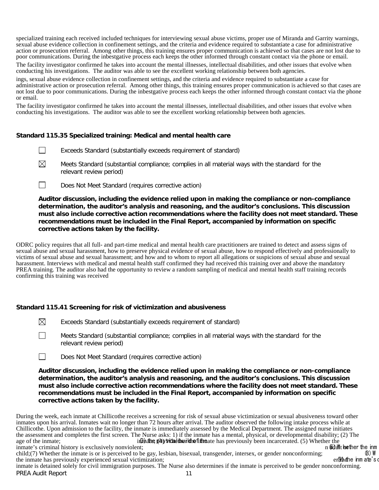specialized training each received included techniques for interviewing sexual abuse victims, proper use of Miranda and Garrity warnings, sexual abuse evidence collection in confinement settings, and the criteria and evidence required to substantiate a case for administrative action or prosecution referral. Among other things, this training ensures proper communication is achieved so that cases are not lost due to poor communications. During the inbestgative process each keeps the other informed through constant contact via the phone or email.

The facility investigator confirmed he takes into account the mental illnesses, intellectual disabilities, and other issues that evolve when conducting his investigations. The auditor was able to see the excellent working relationship between both agencies.

ings, sexual abuse evidence collection in confinement settings, and the criteria and evidence required to substantiate a case for administrative action or prosecution referral. Among other things, this training ensures proper communication is achieved so that cases are not lost due to poor communications. During the inbestgative process each keeps the other informed through constant contact via the phone or email.

The facility investigator confirmed he takes into account the mental illnesses, intellectual disabilities, and other issues that evolve when conducting his investigations. The auditor was able to see the excellent working relationship between both agencies.

#### **Standard 115.35 Specialized training: Medical and mental health care**

- $\Box$ Exceeds Standard (substantially exceeds requirement of standard)
- $\boxtimes$ Meets Standard (substantial compliance; complies in all material ways with the standard for the relevant review period)
- $\Box$ Does Not Meet Standard (requires corrective action)

**Auditor discussion, including the evidence relied upon in making the compliance or non-compliance determination, the auditor's analysis and reasoning, and the auditor's conclusions. This discussion must also include corrective action recommendations where the facility does not meet standard. These recommendations must be included in the Final Report, accompanied by information on specific corrective actions taken by the facility.**

ODRC policy requires that all full- and part-time medical and mental health care practitioners are trained to detect and assess signs of sexual abuse and sexual harassment, how to preserve physical evidence of sexual abuse, how to respond effectively and professionally to victims of sexual abuse and sexual harassment; and how and to whom to report all allegations or suspicions of sexual abuse and sexual harassment. Interviews with medical and mental health staff confirmed they had received this training over and above the mandatory PREA training. The auditor also had the opportunity to review a random sampling of medical and mental health staff training records confirming this training was received

#### **Standard 115.41 Screening for risk of victimization and abusiveness**

- ⊠ Exceeds Standard (substantially exceeds requirement of standard)
- $\perp$ Meets Standard (substantial compliance; complies in all material ways with the standard for the relevant review period)
- $\Box$ Does Not Meet Standard (requires corrective action)

**Auditor discussion, including the evidence relied upon in making the compliance or non-compliance determination, the auditor's analysis and reasoning, and the auditor's conclusions. This discussion must also include corrective action recommendations where the facility does not meet standard. These recommendations must be included in the Final Report, accompanied by information on specific corrective actions taken by the facility.**

During the week, each inmate at Chillicothe receives a screening for risk of sexual abuse victimization or sexual abusiveness toward other inmates upon his arrival. Inmates wait no longer than 72 hours after arrival. The auditor observed the following intake process while at Chillicothe. Upon admission to the facility, the inmate is immediately assessed by the Medical Department. The assigned nurse initiates the assessment and completes the first screen. The Nurse asks: 1) if the inmate has a mental, physical, or developmental disability; (2) The age of the inmate:<br>in the physical disability: (2) The inmate: in Ginding physicial their dine fittine ate has previously been incarcerated. (5) Whether the inm<br>int; hether the inm inmate's criminal history is exclusively nonviolent;<br>child:(7) Whether the inmate is or is perceived to be gay, lesbian, bisexual, transgender, intersex, or gender nonconforming;

child;(7) Whether the inmate is or is perceived to be gay, lesbian, bisexual, transgender, intersex, or gender nonconforming; (8) W<br>the inmate has previously experienced sexual victimization; entersex, or gender nonconform

PREA Audit Report 11 inmate is detained solely for civil immigration purposes. The Nurse also determines if the inmate is perceived to be gender nonconforming.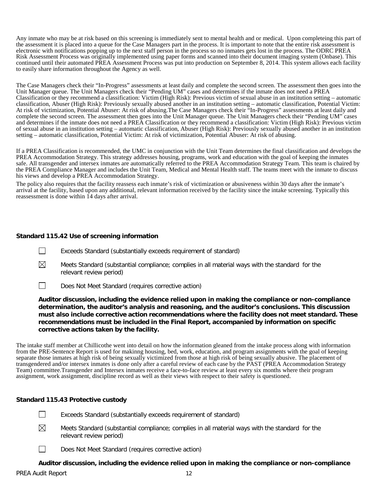Any inmate who may be at risk based on this screening is immediately sent to mental health and or medical. Upon completeing this part of the assessment it is placed into a queue for the Case Managers part in the process. It is important to note that the entire risk assessment is electronic with notifications popping up to the next staff person in the process so no inmates gets lost in the process. The ODRC PREA Risk Assessment Process was originally implemented using paper forms and scanned into their document imaging system (Onbase). This continued until their automated PREA Assessment Process was put into production on September 8, 2014. This system allows each facility to easily share information throughout the Agency as well.

The Case Managers check their "In-Progress" assessments at least daily and complete the second screen. The assessment then goes into the Unit Manager queue. The Unit Managers check their "Pending UM" cases and determines if the inmate does not need a PREA Classification or they recommend a classification: Victim (High Risk): Previous victim of sexual abuse in an institution setting – automatic classification, Abuser (High Risk): Previously sexually abused another in an institution setting – automatic classification, Potential Victim: At risk of victimization, Potential Abuser: At risk of abusing.The Case Managers check their "In-Progress" assessments at least daily and complete the second screen. The assessment then goes into the Unit Manager queue. The Unit Managers check their "Pending UM" cases and determines if the inmate does not need a PREA Classification or they recommend a classification: Victim (High Risk): Previous victim of sexual abuse in an institution setting – automatic classification, Abuser (High Risk): Previously sexually abused another in an institution setting – automatic classification, Potential Victim: At risk of victimization, Potential Abuser: At risk of abusing.

If a PREA Classification is recommended, the UMC in conjunction with the Unit Team determines the final classification and develops the PREA Accommodation Strategy. This strategy addresses housing, programs, work and education with the goal of keeping the inmates safe. All transgender and intersex inmates are automatically referred to the PREA Accommodation Strategy Team. This team is chaired by the PREA Compliance Manager and includes the Unit Team, Medical and Mental Health staff. The teams meet with the inmate to discuss his views and develop a PREA Accommodation Strategy.

The policy also requires that the facility reassess each inmate's risk of victimization or abusiveness within 30 days after the inmate's arrival at the facility, based upon any additional, relevant information received by the facility since the intake screening. Typically this reassessment is done within 14 days after arrival.

# **Standard 115.42 Use of screening information**

- П Exceeds Standard (substantially exceeds requirement of standard)
- ⊠ Meets Standard (substantial compliance; complies in all material ways with the standard for the relevant review period)
- $\Box$ Does Not Meet Standard (requires corrective action)

**Auditor discussion, including the evidence relied upon in making the compliance or non-compliance determination, the auditor's analysis and reasoning, and the auditor's conclusions. This discussion must also include corrective action recommendations where the facility does not meet standard. These recommendations must be included in the Final Report, accompanied by information on specific corrective actions taken by the facility.**

The intake staff member at Chillicothe went into detail on how the information gleaned from the intake process along with information from the PRE-Sentence Report is used for makinng housing, bed, work, education, and program assignments with the goal of keeping separate those inmates at high risk of being sexually victimized from those at high risk of being sexually abusive. The placement of transgendered and/or intersex inmates is done only after a careful review of each case by the PAST (PREA Accommodation Strategy Team) committee.Transgender and Intersex inmates receive a face-to-face review at least every six months where their program assignment, work assignment, discipline record as well as their views with respect to their safety is questioned.

# **Standard 115.43 Protective custody**

- Exceeds Standard (substantially exceeds requirement of standard)
- ⊠ Meets Standard (substantial compliance; complies in all material ways with the standard for the relevant review period)
- $\mathbf{I}$ Does Not Meet Standard (requires corrective action)

# **Auditor discussion, including the evidence relied upon in making the compliance or non-compliance**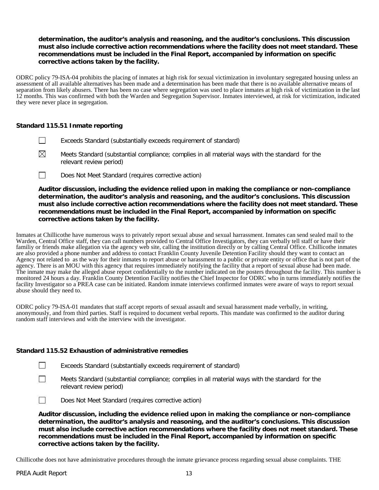# **determination, the auditor's analysis and reasoning, and the auditor's conclusions. This discussion must also include corrective action recommendations where the facility does not meet standard. These recommendations must be included in the Final Report, accompanied by information on specific corrective actions taken by the facility.**

ODRC policy 79-ISA-04 prohibits the placing of inmates at high risk for sexual victimization in involuntary segregated housing unless an assessment of all available alternatives has been made and a determination has been made that there is no available alternative means of separation from likely abusers. There has been no case where segregation was used to place inmates at high risk of victimization in the last 12 months. This was confirmed with both the Warden and Segregation Supervisor. Inmates interviewed, at risk for victimization, indicated they were never place in segregation.

# **Standard 115.51 Inmate reporting**

- Exceeds Standard (substantially exceeds requirement of standard)
- $\boxtimes$ Meets Standard (substantial compliance; complies in all material ways with the standard for the relevant review period)
- $\Box$ Does Not Meet Standard (requires corrective action)

**Auditor discussion, including the evidence relied upon in making the compliance or non-compliance determination, the auditor's analysis and reasoning, and the auditor's conclusions. This discussion must also include corrective action recommendations where the facility does not meet standard. These recommendations must be included in the Final Report, accompanied by information on specific corrective actions taken by the facility.**

Inmates at Chillicothe have numerous ways to privately report sexual abuse and sexual harrassment. Inmates can send sealed mail to the Warden, Central Office staff, they can call numbers provided to Central Office Investigators, they can verbally tell staff or have their familiy or friends make allegation via the agency web site, calling the institution directly or by calling Central Office. Chillicothe inmates are also provided a phone number and address to contact Franklin County Juvenile Detention Facility should they want to contact an Agency not related to as the way for their inmates to report abuse or harassment to a public or private entity or office that is not part of the agency. There is an MOU with this agency that requires immediately notifying the facility that a report of sexual abuse had been made. The inmate may make the alleged abuse report confidentially to the number indicated on the posters throughout the facility. This number is monitored 24 hours a day. Franklin County Detention Facility notifies the Chief Inspector for ODRC who in turns immediately notifies the facility Investigator so a PREA case can be initiated. Random inmate interviews confirmed inmates were aware of ways to report sexual abuse should they need to.

ODRC policy 79-ISA-01 mandates that staff accept reports of sexual assault and sexual harassment made verbally, in writing, anonymously, and from third parties. Staff is required to document verbal reports. This mandate was confirmed to the auditor during random staff interviews and with the interview with the investigator.

#### **Standard 115.52 Exhaustion of administrative remedies**

- Exceeds Standard (substantially exceeds requirement of standard)
- Meets Standard (substantial compliance; complies in all material ways with the standard for the relevant review period)

Does Not Meet Standard (requires corrective action)

**Auditor discussion, including the evidence relied upon in making the compliance or non-compliance determination, the auditor's analysis and reasoning, and the auditor's conclusions. This discussion must also include corrective action recommendations where the facility does not meet standard. These recommendations must be included in the Final Report, accompanied by information on specific corrective actions taken by the facility.**

Chillicothe does not have administrative procedures through the inmate grievance process regarding sexual abuse complaints. THE

 $\Box$ 

 $\perp$ 

 $\mathbf{1}$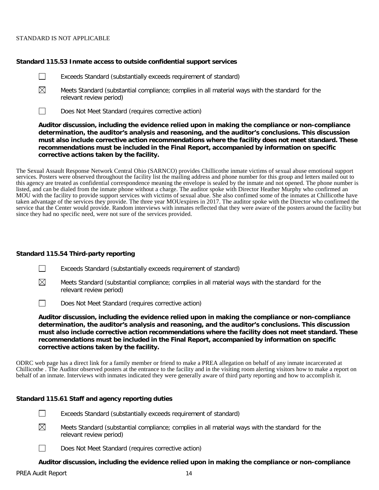#### STANDARD IS NOT APPLICABLE

 $\Box$ 

#### **Standard 115.53 Inmate access to outside confidential support services**

- Exceeds Standard (substantially exceeds requirement of standard)
- $\boxtimes$ Meets Standard (substantial compliance; complies in all material ways with the standard for the relevant review period)
- $\Box$ Does Not Meet Standard (requires corrective action)

**Auditor discussion, including the evidence relied upon in making the compliance or non-compliance determination, the auditor's analysis and reasoning, and the auditor's conclusions. This discussion must also include corrective action recommendations where the facility does not meet standard. These recommendations must be included in the Final Report, accompanied by information on specific corrective actions taken by the facility.**

The Sexual Assault Response Network Central Ohio (SARNCO) provides Chillicothe inmate victims of sexual abuse emotional support services. Posters were observed throughout the facility list the mailing address and phone number for this group and letters mailed out to this agency are treated as confidential correspondence meaning the envelope is sealed by the inmate and not opened. The phone number is listed, and can be dialed from the inmate phone without a charge. The auditor spoke with Director Heather Murphy who confirmed an MOU with the facility to provide support services with victims of sexual abue. She also confimed some of the inmates at Chillicothe have taken advantage of the services they provide. The three year MOUexpires in 2017. The auditor spoke with the Director who confirmed the service that the Center would provide. Random interviews with inmates reflected that they were aware of the posters around the facility but since they had no specific need, were not sure of the services provided.

#### **Standard 115.54 Third-party reporting**

- $\Box$ Exceeds Standard (substantially exceeds requirement of standard)
- $\boxtimes$ Meets Standard (substantial compliance; complies in all material ways with the standard for the relevant review period)
- $\Box$ Does Not Meet Standard (requires corrective action)

**Auditor discussion, including the evidence relied upon in making the compliance or non-compliance determination, the auditor's analysis and reasoning, and the auditor's conclusions. This discussion must also include corrective action recommendations where the facility does not meet standard. These recommendations must be included in the Final Report, accompanied by information on specific corrective actions taken by the facility.**

ODRC web page has a direct link for a family member or friend to make a PREA allegation on behalf of any inmate incarcerated at Chillicothe . The Auditor observed posters at the entrance to the facility and in the visiting room alerting visitors how to make a report on behalf of an inmate. Interviews with inmates indicated they were generally aware of third party reporting and how to accomplish it.

#### **Standard 115.61 Staff and agency reporting duties**

- Exceeds Standard (substantially exceeds requirement of standard)  $\perp$
- $\boxtimes$ Meets Standard (substantial compliance; complies in all material ways with the standard for the relevant review period)
- П Does Not Meet Standard (requires corrective action)

# **Auditor discussion, including the evidence relied upon in making the compliance or non-compliance**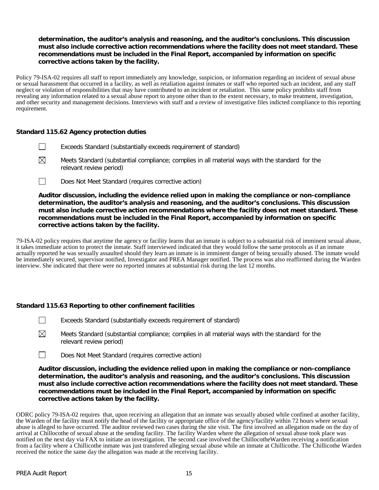# **determination, the auditor's analysis and reasoning, and the auditor's conclusions. This discussion must also include corrective action recommendations where the facility does not meet standard. These recommendations must be included in the Final Report, accompanied by information on specific corrective actions taken by the facility.**

Policy 79-ISA-02 requires all staff to report immediately any knowledge, suspicion, or information regarding an incident of sexual abuse or sexual harassment that occurred in a facility, as well as retaliation against inmates or staff who reported such an incident, and any staff neglect or violation of responsibilities that may have contributed to an incident or retaliation. This same policy prohibits staff from revealing any information related to a sexual abuse report to anyone other than to the extent necessary, to make treatment, investigation, and other security and management decisions. Interviews with staff and a review of investigative files indicted compliance to this reporting requirement.

# **Standard 115.62 Agency protection duties**

- $\mathbf{1}$ Exceeds Standard (substantially exceeds requirement of standard)
- $\boxtimes$ Meets Standard (substantial compliance; complies in all material ways with the standard for the relevant review period)
- $\Box$ Does Not Meet Standard (requires corrective action)

**Auditor discussion, including the evidence relied upon in making the compliance or non-compliance determination, the auditor's analysis and reasoning, and the auditor's conclusions. This discussion must also include corrective action recommendations where the facility does not meet standard. These recommendations must be included in the Final Report, accompanied by information on specific corrective actions taken by the facility.**

79-ISA-02 policy requires that anytime the agency or facility learns that an inmate is subject to a substantial risk of imminent sexual abuse, it takes immediate action to protect the inmate. Staff interviewed indicated that they would follow the same protocols as if an inmate actually reported he was sexually assaulted should they learn an inmate is in imminent danger of being sexually abused. The inmate would be immediately secured, supervisor notified, Investigator and PREA Manager notified. The process was also reaffirmed during the Warden interview. She indicated that there were no reported inmates at substantial risk during the last 12 months.

# **Standard 115.63 Reporting to other confinement facilities**

- $\Box$ Exceeds Standard (substantially exceeds requirement of standard)
- $\boxtimes$ Meets Standard (substantial compliance; complies in all material ways with the standard for the relevant review period)
- $\Box$ Does Not Meet Standard (requires corrective action)

**Auditor discussion, including the evidence relied upon in making the compliance or non-compliance determination, the auditor's analysis and reasoning, and the auditor's conclusions. This discussion must also include corrective action recommendations where the facility does not meet standard. These recommendations must be included in the Final Report, accompanied by information on specific corrective actions taken by the facility.**

ODRC policy 79-ISA-02 requires that, upon receiving an allegation that an inmate was sexually abused while confined at another facility, the Warden of the facility must notify the head of the facility or appropriate office of the agency/facility within 72 hours where sexual abuse is alleged to have occurred. The auditor reviewed two cases during the site visit. The first involved an allegation made on the day of arrival at Chillocothe of sexual abuse at the sending facility. The facility Warden where the allegation of sexual abuse took place was notified on the next day via FAX to initiate an investigation. The second case involved the ChillocotheWarden receiving a notification from a facility where a Chillicothe inmate was just transfered alleging sexual abuse while an inmate at Chillicothe. The Chillicothe Warden received the notice the same day the allegation was made at the receiving facility.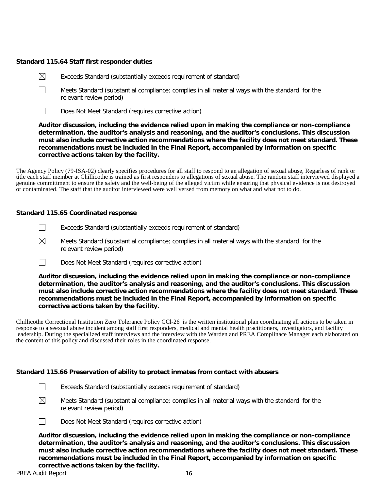# **Standard 115.64 Staff first responder duties**

- $\boxtimes$ Exceeds Standard (substantially exceeds requirement of standard)
- $\Box$ Meets Standard (substantial compliance; complies in all material ways with the standard for the relevant review period)
- $\Box$ Does Not Meet Standard (requires corrective action)

**Auditor discussion, including the evidence relied upon in making the compliance or non-compliance determination, the auditor's analysis and reasoning, and the auditor's conclusions. This discussion must also include corrective action recommendations where the facility does not meet standard. These recommendations must be included in the Final Report, accompanied by information on specific corrective actions taken by the facility.**

The Agency Policy (79-ISA-02) clearly specifies procedures for all staff to respond to an allegation of sexual abuse, Regarless of rank or title each staff member at Chillicothe is trained as first responders to allegations of sexual abuse. The random staff interviewed displayed a genuine committment to ensure the safety and the well-being of the alleged victim while ensuring that physical evidence is not destroyed or contaminated. The staff that the auditor interviewed were well versed from memory on what and what not to do.

# **Standard 115.65 Coordinated response**

- $\Box$ Exceeds Standard (substantially exceeds requirement of standard)
- $\boxtimes$ Meets Standard (substantial compliance; complies in all material ways with the standard for the relevant review period)
- $\Box$ Does Not Meet Standard (requires corrective action)

**Auditor discussion, including the evidence relied upon in making the compliance or non-compliance determination, the auditor's analysis and reasoning, and the auditor's conclusions. This discussion must also include corrective action recommendations where the facility does not meet standard. These recommendations must be included in the Final Report, accompanied by information on specific corrective actions taken by the facility.**

Chillicothe Correctional Institution Zero Tolerance Policy CCl-26 is the written institutional plan coordinating all actions to be taken in response to a seexual abuse incident among staff first responders, medical and mental health practitioners, investigators, and facility leadership. During the specialized staff interviews and the interview with the Warden and PREA Complinace Manager each elaborated on the content of this policy and discussed their roles in the coordinated response.

#### **Standard 115.66 Preservation of ability to protect inmates from contact with abusers**

- $\Box$ Exceeds Standard (substantially exceeds requirement of standard)
- ⊠

Meets Standard (substantial compliance; complies in all material ways with the standard for the relevant review period)



Does Not Meet Standard (requires corrective action)

**Auditor discussion, including the evidence relied upon in making the compliance or non-compliance determination, the auditor's analysis and reasoning, and the auditor's conclusions. This discussion must also include corrective action recommendations where the facility does not meet standard. These recommendations must be included in the Final Report, accompanied by information on specific corrective actions taken by the facility.**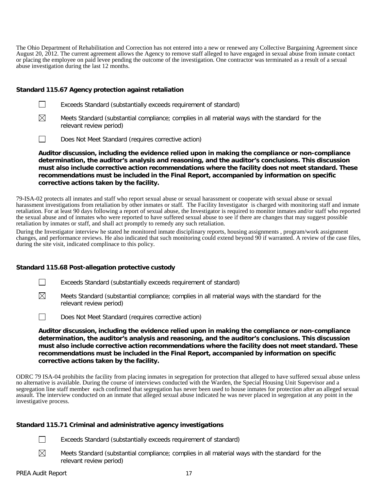The Ohio Department of Rehabilitation and Correction has not entered into a new or renewed any Collective Bargaining Agreement since August 20, 2012. The current agreement allows the Agency to remove staff alleged to have engaged in sexual abuse from inmate contact or placing the employee on paid levee pending the outcome of the investigation. One contractor was terminated as a result of a sexual abuse investigation during the last 12 months.

## **Standard 115.67 Agency protection against retaliation**

- $\perp$ Exceeds Standard (substantially exceeds requirement of standard)
- $\boxtimes$ Meets Standard (substantial compliance; complies in all material ways with the standard for the relevant review period)
- $\Box$ Does Not Meet Standard (requires corrective action)

**Auditor discussion, including the evidence relied upon in making the compliance or non-compliance determination, the auditor's analysis and reasoning, and the auditor's conclusions. This discussion must also include corrective action recommendations where the facility does not meet standard. These recommendations must be included in the Final Report, accompanied by information on specific corrective actions taken by the facility.**

79-ISA-02 protects all inmates and staff who report sexual abuse or sexual harassment or cooperate with sexual abuse or sexual harassment investigations from retaliation by other inmates or staff. The Facility Investigator is charged with monitoring staff and inmate retaliation. For at least 90 days following a report of sexual abuse, the Investigator is required to monitor inmates and/or staff who reported the sexual abuse and of inmates who were reported to have suffered sexual abuse to see if there are changes that may suggest possible retaliation by inmates or staff, and shall act promptly to remedy any such retaliation.

During the Investigator interview he stated he monitored inmate disciplinary reports, housing assignments , program/work assignment changes, and performance reviews. He also indicated that such monitoring could extend beyond 90 if warranted. A review of the case files, during the site visit, indicated complinace to this policy.

# **Standard 115.68 Post-allegation protective custody**

- $\mathbf{1}$ Exceeds Standard (substantially exceeds requirement of standard)
- $\boxtimes$ Meets Standard (substantial compliance; complies in all material ways with the standard for the relevant review period)
- $\Box$ Does Not Meet Standard (requires corrective action)

**Auditor discussion, including the evidence relied upon in making the compliance or non-compliance determination, the auditor's analysis and reasoning, and the auditor's conclusions. This discussion must also include corrective action recommendations where the facility does not meet standard. These recommendations must be included in the Final Report, accompanied by information on specific corrective actions taken by the facility.**

ODRC 79 ISA-04 prohibits the facility from placing inmates in segregation for protection that alleged to have suffered sexual abuse unless no alternative is available. During the course of interviews conducted with the Warden, the Special Housing Unit Supervisor and a segregation line staff member each confirmed that segregation has never been used to house inmates for protection after an alleged sexual assault. The interview conducted on an inmate that alleged sexual abuse indicated he was never placed in segregation at any point in the investigative process.

#### **Standard 115.71 Criminal and administrative agency investigations**

- Exceeds Standard (substantially exceeds requirement of standard)  $\perp$
- $\boxtimes$ Meets Standard (substantial compliance; complies in all material ways with the standard for the relevant review period)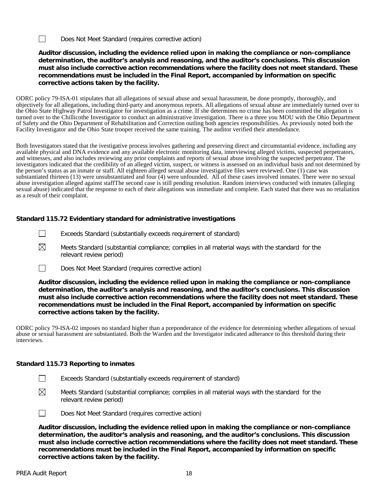$\Box$ Does Not Meet Standard (requires corrective action)

# **Auditor discussion, including the evidence relied upon in making the compliance or non-compliance determination, the auditor's analysis and reasoning, and the auditor's conclusions. This discussion must also include corrective action recommendations where the facility does not meet standard. These recommendations must be included in the Final Report, accompanied by information on specific corrective actions taken by the facility.**

ODRC policy 79-ISA-01 stipulates that all allegations of sexual abuse and sexual harassment, be done promptly, thoroughly, and objectively for all allegations, including third-party and anonymous reports. All allegations of sexual abuse are immediately turned over to the Ohio State Highway Patrol Investigator for investigation as a crime. If she determines no crime has been committed the allegation is turned over to the Chillicothe Investigator to conduct an administrative investigation. There is a three you MOU with the Ohio Department of Safety and the Ohio Department of Rehabilitation and Correction outling both agencies responsibilities. As previously noted both the Facility Investigator and the Ohio State trooper received the same training. The auditor verified their attendedance.

Both Investigators stated that the ivestigative process involves gathering and preserving direct and circumstantial evidence, including any available physical and DNA evidence and any available electronic monitoring data, interviewing alleged victims, suspected perpetrators, and witnesses, and also includes reviewing any prior complaints and reports of sexual abuse involving the suspected perpetrator. The investigators indicated that the credibility of an alleged victim, suspect, or witness is assessed on an individual basis and not determined by the person's status as an inmate or staff. All eighteen alleged sexual abuse investigative files were reviewed. One (1) case was substantiated thirteen (13) were unsubstantiated and four (4) were unfounded. All of these cases involved inmates. There were no sexual abuse investigation alleged against staffThe second case is still pending resolution. Random interviews conducted with inmates (alleging sexual abuse) indicated that the response to each of their allegations was immediate and complete. Each stated that there was no retaliation as a result of their complaint.

# **Standard 115.72 Evidentiary standard for administrative investigations**

- $\perp$ Exceeds Standard (substantially exceeds requirement of standard)
- $\boxtimes$ Meets Standard (substantial compliance; complies in all material ways with the standard for the relevant review period)
- $\Box$ Does Not Meet Standard (requires corrective action)

**Auditor discussion, including the evidence relied upon in making the compliance or non-compliance determination, the auditor's analysis and reasoning, and the auditor's conclusions. This discussion must also include corrective action recommendations where the facility does not meet standard. These recommendations must be included in the Final Report, accompanied by information on specific corrective actions taken by the facility.**

ODRC policy 79-ISA-02 imposes no standard higher than a preponderance of the evidence for determining whether allegations of sexual abuse or sexual harassment are substantiated. Both the Warden and the Investigator indicated adherance to this threshold during their interviews.

# **Standard 115.73 Reporting to inmates**

- $\Box$ Exceeds Standard (substantially exceeds requirement of standard)
- $\boxtimes$ Meets Standard (substantial compliance; complies in all material ways with the standard for the relevant review period)



Does Not Meet Standard (requires corrective action)

**Auditor discussion, including the evidence relied upon in making the compliance or non-compliance determination, the auditor's analysis and reasoning, and the auditor's conclusions. This discussion must also include corrective action recommendations where the facility does not meet standard. These recommendations must be included in the Final Report, accompanied by information on specific corrective actions taken by the facility.**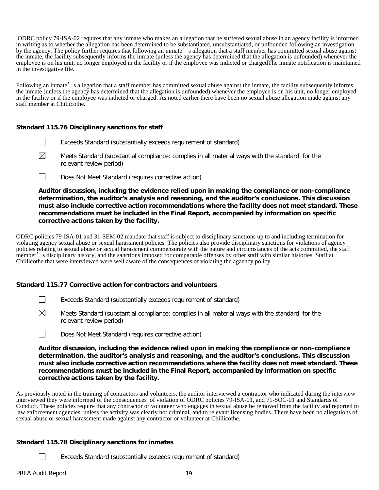ODRC policy 79-ISA-02 requires that any inmate who makes an allegation that he suffered sexual abuse in an agency facility is informed in writing as to whether the allegation has been determined to be substantiated, unsubstantiated, or unfounded following an investigation by the agency. The policy further requires that following an inmate's allegation that a staff member has committed sexual abuse against the inmate, the facility subsequently informs the inmate (unless the agency has determined that the allegation is unfounded) whenever the employee is on his unit, no longer employed in the facility or if the employee was indicted or chargedThe inmate notification is maintained in the investigative file.

Following an inmate's allegation that a staff member has committed sexual abuse against the inmate, the facility subsequently informs the inmate (unless the agency has determined that the allegation is unfounded) whenever the employee is on his unit, no longer employed in the facility or if the employee was indicted or charged. As noted earlier there have been no sexual abuse allegation made against any staff member at Chillicothe.

# **Standard 115.76 Disciplinary sanctions for staff**

- Exceeds Standard (substantially exceeds requirement of standard)
- $\boxtimes$ Meets Standard (substantial compliance; complies in all material ways with the standard for the relevant review period)
- П Does Not Meet Standard (requires corrective action)

**Auditor discussion, including the evidence relied upon in making the compliance or non-compliance determination, the auditor's analysis and reasoning, and the auditor's conclusions. This discussion must also include corrective action recommendations where the facility does not meet standard. These recommendations must be included in the Final Report, accompanied by information on specific corrective actions taken by the facility.**

ODRC policies 79-ISA-01 and 31-SEM-02 mandate that staff is subject to disciplinary sanctions up to and including termination for violating agency sexual abuse or sexual harassment policies. The policies also provide disciplinary sanctions for violations of agency policies relating to sexual abuse or sexual harassment commensurate with the nature and circumstances of the acts committed, the staff member's disciplinary history, and the sanctions imposed for comparable offenses by other staff with similar histories. Staff at Chillicothe that were interviewed were well aware of the consequences of violating the agaency policy

# **Standard 115.77 Corrective action for contractors and volunteers**

- $\Box$ Exceeds Standard (substantially exceeds requirement of standard)
- $\boxtimes$ Meets Standard (substantial compliance; complies in all material ways with the standard for the relevant review period)
- $\Box$ Does Not Meet Standard (requires corrective action)

**Auditor discussion, including the evidence relied upon in making the compliance or non-compliance determination, the auditor's analysis and reasoning, and the auditor's conclusions. This discussion must also include corrective action recommendations where the facility does not meet standard. These recommendations must be included in the Final Report, accompanied by information on specific corrective actions taken by the facility.**

As previously noted in the training of contractors and volunteers, the auditor interviewed a contractor who indicated during the interview interviewed they were informed of the consequences of violation of ODRC policies 79-ISA-01, and 71-SOC-01 and Standards of Conduct. These policies require that any contractor or volunteer who engages in sexual abuse be removed from the facility and reported to law enforcement agencies, unless the activity was clearly not criminal, and to relevant licensing bodies. There have been no allegations of sexual abuse or sexual harassment made against any contractor or volunteer at Chillicothe.

# **Standard 115.78 Disciplinary sanctions for inmates**

Exceeds Standard (substantially exceeds requirement of standard)

 $\Box$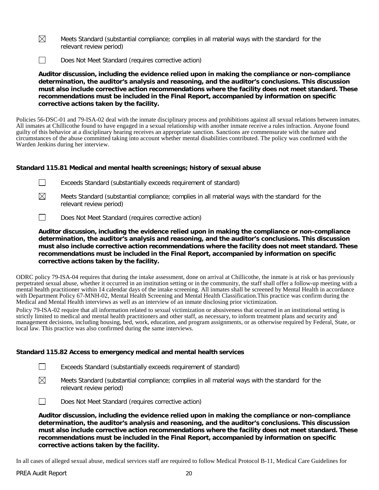- $\boxtimes$ Meets Standard (substantial compliance; complies in all material ways with the standard for the relevant review period)
- $\Box$ Does Not Meet Standard (requires corrective action)

**Auditor discussion, including the evidence relied upon in making the compliance or non-compliance determination, the auditor's analysis and reasoning, and the auditor's conclusions. This discussion must also include corrective action recommendations where the facility does not meet standard. These recommendations must be included in the Final Report, accompanied by information on specific corrective actions taken by the facility.**

Policies 56-DSC-01 and 79-ISA-02 deal with the inmate disciplinary process and prohibitions against all sexual relations between inmates. All inmates at Chillicothe found to have engaged in a sexual relationship with another inmate receive a rules infraction. Anyone found guilty of this behavior at a disciplinary hearing receives an appropriate sanction. Sanctions are commensurate with the nature and circumstances of the abuse committed taking into account whether mental disabilities contributed. The policy was confirmed with the Warden Jenkins during her interview.

# **Standard 115.81 Medical and mental health screenings; history of sexual abuse**

|  | Exceeds Standard (substantially exceeds requirement of standard) |
|--|------------------------------------------------------------------|
|--|------------------------------------------------------------------|

⊠ Meets Standard (substantial compliance; complies in all material ways with the standard for the relevant review period)

 $\Box$ Does Not Meet Standard (requires corrective action)

**Auditor discussion, including the evidence relied upon in making the compliance or non-compliance determination, the auditor's analysis and reasoning, and the auditor's conclusions. This discussion must also include corrective action recommendations where the facility does not meet standard. These recommendations must be included in the Final Report, accompanied by information on specific corrective actions taken by the facility.**

ODRC policy 79-ISA-04 requires that during the intake assessment, done on arrival at Chillicothe, the inmate is at risk or has previously perpetrated sexual abuse, whether it occurred in an institution setting or in the community, the staff shall offer a follow-up meeting with a mental health practitioner within 14 calendar days of the intake screening. All inmates shall be screened by Mental Health in accordance with Department Policy 67-MNH-02, Mental Health Screening and Mental Health Classification.This practice was confirm during the Medical and Mental Health interviews as well as an interview of an inmate disclosing prior victimization.

Policy 79-ISA-02 require that all information related to sexual victimization or abusiveness that occurred in an institutional setting is strictly limited to medical and mental health practitioners and other staff, as necessary, to inform treatment plans and security and management decisions, including housing, bed, work, education, and program assignments, or as otherwise required by Federal, State, or local law. This practice was also confirmed during the same interviews.

#### **Standard 115.82 Access to emergency medical and mental health services**

- П Exceeds Standard (substantially exceeds requirement of standard)
- $\boxtimes$ Meets Standard (substantial compliance; complies in all material ways with the standard for the relevant review period)

 $\Box$ Does Not Meet Standard (requires corrective action)

**Auditor discussion, including the evidence relied upon in making the compliance or non-compliance determination, the auditor's analysis and reasoning, and the auditor's conclusions. This discussion must also include corrective action recommendations where the facility does not meet standard. These recommendations must be included in the Final Report, accompanied by information on specific corrective actions taken by the facility.**

In all cases of alleged sexual abuse, medical services staff are required to follow Medical Protocol B-11, Medical Care Guidelines for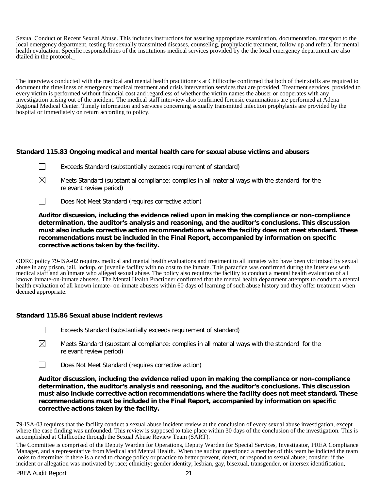Sexual Conduct or Recent Sexual Abuse. This includes instructions for assuring appropriate examination, documentation, transport to the local emergency department, testing for sexually transmitted diseases, counseling, prophylactic treatment, follow up and referal for mental health evaluation. Specific responsibilities of the institutions medical services provided by the the local emergency department are also dtailed in the protocol.\_

The interviews conducted with the medical and mental health practitioners at Chillicothe confirmed that both of their staffs are required to document the timeliness of emergency medical treatment and crisis intervention services that are provided. Treatment services provided to every victim is performed without financial cost and regardless of whether the victim names the abuser or cooperates with any investigation arising out of the incident. The medical staff interview also confirmed forensic examinations are performed at Adena Regional Medical Center. Timely information and services concerning sexually transmitted infection prophylaxis are provided by the hospital or immediately on return according to policy.

# **Standard 115.83 Ongoing medical and mental health care for sexual abuse victims and abusers**

- Exceeds Standard (substantially exceeds requirement of standard)
- $\boxtimes$ Meets Standard (substantial compliance; complies in all material ways with the standard for the relevant review period)
- $\Box$ Does Not Meet Standard (requires corrective action)

**Auditor discussion, including the evidence relied upon in making the compliance or non-compliance determination, the auditor's analysis and reasoning, and the auditor's conclusions. This discussion must also include corrective action recommendations where the facility does not meet standard. These recommendations must be included in the Final Report, accompanied by information on specific corrective actions taken by the facility.**

ODRC policy 79-ISA-02 requires medical and mental health evaluations and treatment to all inmates who have been victimized by sexual abuse in any prison, jail, lockup, or juvenile facility with no cost to the inmate. This paractice was confirmed during the interview with medical staff and an inmate who alleged sexual abuse. The policy also requires the facility to conduct a mental health evaluation of all known inmate-on-inmate abusers. The Mental Health Practioner confirmed that the mental health department attempts to conduct a mental health evaluation of all known inmate- on-inmate abusers within 60 days of learning of such abuse history and they offer treatment when deemed appropriate.

#### **Standard 115.86 Sexual abuse incident reviews**

- $\Box$ Exceeds Standard (substantially exceeds requirement of standard)
- $\boxtimes$ Meets Standard (substantial compliance; complies in all material ways with the standard for the relevant review period)
- $\Box$ Does Not Meet Standard (requires corrective action)

**Auditor discussion, including the evidence relied upon in making the compliance or non-compliance determination, the auditor's analysis and reasoning, and the auditor's conclusions. This discussion must also include corrective action recommendations where the facility does not meet standard. These recommendations must be included in the Final Report, accompanied by information on specific corrective actions taken by the facility.**

79-ISA-03 requires that the facility conduct a sexual abuse incident review at the conclusion of every sexual abuse investigation, except where the case finding was unfounded. This review is supposed to take place within 30 days of the conclusion of the investigation. This is accomplished at Chillicothe through the Sexual Abuse Review Team (SART).

The Committee is comprised of the Deputy Warden for Operations, Deputy Warden for Special Services, Investigator, PREA Compliance Manager, and a representative from Medical and Mental Health. When the auditor questioned a member of this team he indicted the team looks to determine: if there is a need to change policy or practice to better prevent, detect, or respond to sexual abuse; consider if the incident or allegation was motivated by race; ethnicity; gender identity; lesbian, gay, bisexual, transgender, or intersex identification,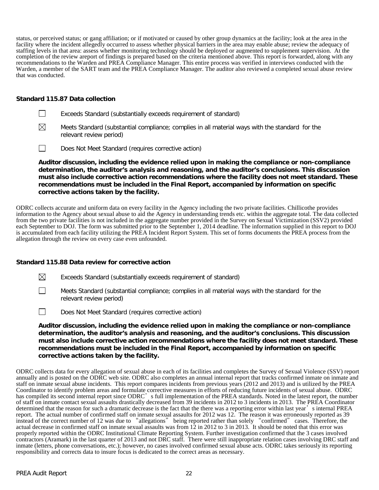status, or perceived status; or gang affiliation; or if motivated or caused by other group dynamics at the facility; look at the area in the facility where the incident allegedly occurred to assess whether physical barriers in the area may enable abuse; review the adequacy of staffing levels in that area: assess whether monitoring technology should be deployed or augmented to supplement supervision. At the completion of the review areport of findings is prepared based on the criteria mentioned above. This report is forwarded, along with any recommendations to the Warden and PREA Compliance Manager. This entire process was verified in interviews conducted with the Warden, a member of the SART team and the PREA Compliance Manager. The auditor also reviewed a completed sexual abuse review that was conducted.

# **Standard 115.87 Data collection**

- ⊠ Meets Standard (substantial compliance; complies in all material ways with the standard for the relevant review period)
- $\Box$ Does Not Meet Standard (requires corrective action)

**Auditor discussion, including the evidence relied upon in making the compliance or non-compliance determination, the auditor's analysis and reasoning, and the auditor's conclusions. This discussion must also include corrective action recommendations where the facility does not meet standard. These recommendations must be included in the Final Report, accompanied by information on specific corrective actions taken by the facility.**

ODRC collects accurate and uniform data on every facility in the Agency including the two private facilities. Chillicothe provides information to the Agency about sexual abuse to aid the Agency in understanding trends etc. within the aggregate total. The data collected from the two private facilities is not included in the aggregate number provided in the Survey on Sexual Victimization (SSV2) provided each September to DOJ. The form was submitted prior to the September 1, 2014 deadline. The information supplied in this report to DOJ is accumulated from each facility utilizing the PREA Incident Report System. This set of forms documents the PREA process from the allegation through the review on every case even unfounded.

# **Standard 115.88 Data review for corrective action**

| $\boxtimes$ |  | Exceeds Standard (substantially exceeds requirement of standard) |  |
|-------------|--|------------------------------------------------------------------|--|
|-------------|--|------------------------------------------------------------------|--|

- $\Box$ Meets Standard (substantial compliance; complies in all material ways with the standard for the relevant review period)
- $\perp$ Does Not Meet Standard (requires corrective action)

**Auditor discussion, including the evidence relied upon in making the compliance or non-compliance determination, the auditor's analysis and reasoning, and the auditor's conclusions. This discussion must also include corrective action recommendations where the facility does not meet standard. These recommendations must be included in the Final Report, accompanied by information on specific corrective actions taken by the facility.**

ODRC collects data for every allegation of sexual abuse in each of its facilities and completes the Survey of Sexual Violence (SSV) report annually and is posted on the ODRC web site. ODRC also completes an annual internal report that tracks confirmed inmate on inmate and staff on inmate sexual abuse incidents. This report compares incidents from previous years (2012 and 2013) and is utilized by the PREA Coordinator to identify problem areas and formulate corrective measures in efforts of reducing future incidents of sexual abuse. ODRC has compiled its second internal report since ODRC's full implementation of the PREA standards. Noted in the latest report, the number of staff on inmate contact sexual assaults drastically decreased from 39 incidents in 2012 to 3 incidents in 2013. The PREA Coordinator determined that the reason for such a dramatic decrease is the fact that the there was a reporting error within last year's internal PREA report. The actual number of confirmed staff on inmate sexual assaults for 2012 was 12. The reason it was erroneously reported as 39 instead of the correct number of 12 was due to "allegations" being reported rather than solely "confirmed" cases. Therefore, the actual decrease in confirmed staff on inmate sexual assaults was from 12 in 2012 to 3 in 2013. It should be noted that this error was properly reported within the ODRC Institutional Climate Reporting System. Further investigation confirmed that the 3 cases involved contractors (Aramark) in the last quarter of 2013 and not DRC staff. There were still inappropriate relation cases involving DRC staff and inmate (letters, phone conversations, etc.); however, no cases involved confirmed sexual abuse acts. ODRC takes seriously its reporting responsibility and corrects data to insure focus is dedicated to the correct areas as necessary.